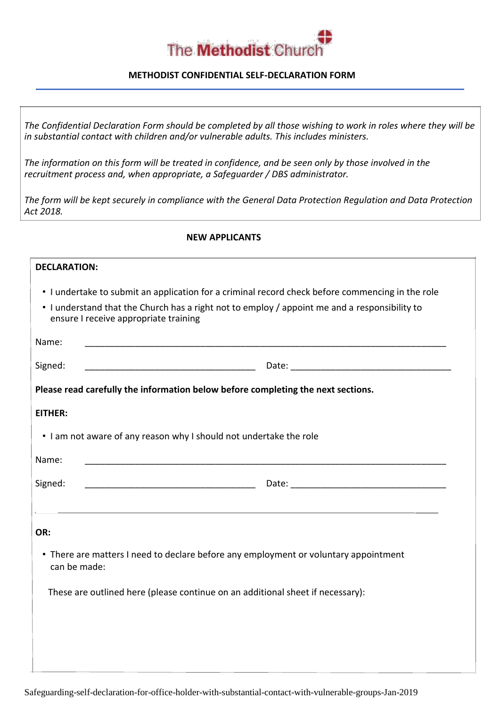

## **METHODIST CONFIDENTIAL SELF-DECLARATION FORM**

*The Confidential Declaration Form should be completed by all those wishing to work in roles where they will be in substantial contact with children and/or vulnerable adults. This includes ministers.*

*The information on this form will be treated in confidence, and be seen only by those involved in the recruitment process and, when appropriate, a Safeguarder / DBS administrator.*

*The form will be kept securely in compliance with the General Data Protection Regulation and Data Protection Act 2018.*

### **NEW APPLICANTS**

## **DECLARATION:**

• I undertake to submit an application for a criminal record check before commencing in the role

| • I understand that the Church has a right not to employ / appoint me and a responsibility to |
|-----------------------------------------------------------------------------------------------|
| ensure I receive appropriate training                                                         |

| Name:        |                                                                                      |
|--------------|--------------------------------------------------------------------------------------|
| Signed:      |                                                                                      |
|              | Please read carefully the information below before completing the next sections.     |
| EITHER:      |                                                                                      |
|              | . I am not aware of any reason why I should not undertake the role                   |
| Name:        |                                                                                      |
| Signed:      |                                                                                      |
|              |                                                                                      |
| OR:          |                                                                                      |
| can be made: | • There are matters I need to declare before any employment or voluntary appointment |
|              | These are outlined here (please continue on an additional sheet if necessary):       |
|              |                                                                                      |
|              |                                                                                      |
|              |                                                                                      |